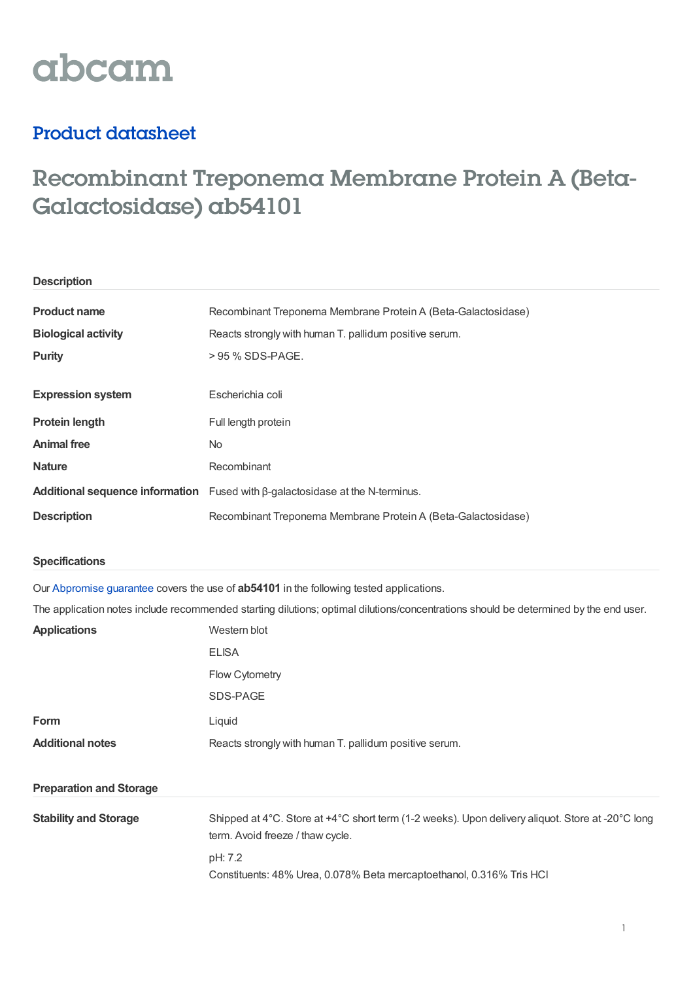# abcam

### Product datasheet

## Recombinant Treponema Membrane Protein A (Beta-Galactosidase) ab54101

| <b>Description</b>         |                                                                                      |
|----------------------------|--------------------------------------------------------------------------------------|
| <b>Product name</b>        | Recombinant Treponema Membrane Protein A (Beta-Galactosidase)                        |
| <b>Biological activity</b> | Reacts strongly with human T. pallidum positive serum.                               |
| <b>Purity</b>              | $>95$ % SDS-PAGE.                                                                    |
| <b>Expression system</b>   | Escherichia coli                                                                     |
| <b>Protein length</b>      | Full length protein                                                                  |
| <b>Animal free</b>         | No.                                                                                  |
| <b>Nature</b>              | Recombinant                                                                          |
|                            | Additional sequence information Fused with $\beta$ -galactosidase at the N-terminus. |
| <b>Description</b>         | Recombinant Treponema Membrane Protein A (Beta-Galactosidase)                        |
|                            |                                                                                      |

#### **Specifications**

Our [Abpromise](https://www.abcam.com/abpromise) guarantee covers the use of **ab54101** in the following tested applications.

The application notes include recommended starting dilutions; optimal dilutions/concentrations should be determined by the end user.

| <b>Applications</b>            | Western blot                                                                                                                         |
|--------------------------------|--------------------------------------------------------------------------------------------------------------------------------------|
|                                | <b>ELISA</b>                                                                                                                         |
|                                | <b>Flow Cytometry</b>                                                                                                                |
|                                | SDS-PAGE                                                                                                                             |
| <b>Form</b>                    | Liquid                                                                                                                               |
| <b>Additional notes</b>        | Reacts strongly with human T. pallidum positive serum.                                                                               |
|                                |                                                                                                                                      |
| <b>Preparation and Storage</b> |                                                                                                                                      |
| <b>Stability and Storage</b>   | Shipped at 4°C. Store at +4°C short term (1-2 weeks). Upon delivery aliquot. Store at -20°C long<br>term. Avoid freeze / thaw cycle. |
|                                | pH: 7.2                                                                                                                              |
|                                | Constituents: 48% Urea, 0.078% Beta mercaptoethanol, 0.316% Tris HCI                                                                 |